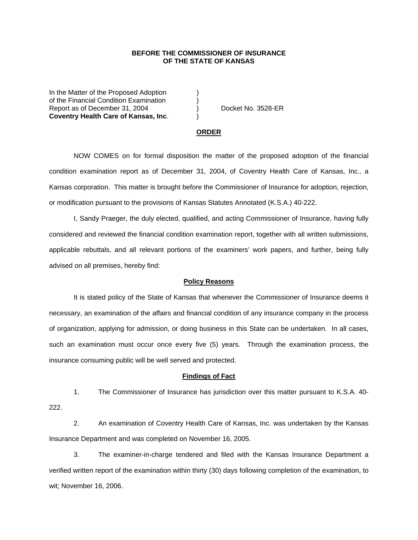## **BEFORE THE COMMISSIONER OF INSURANCE OF THE STATE OF KANSAS**

In the Matter of the Proposed Adoption of the Financial Condition Examination ) Report as of December 31, 2004 (a) Docket No. 3528-ER **Coventry Health Care of Kansas, Inc**. )

#### **ORDER**

 NOW COMES on for formal disposition the matter of the proposed adoption of the financial condition examination report as of December 31, 2004, of Coventry Health Care of Kansas, Inc., a Kansas corporation. This matter is brought before the Commissioner of Insurance for adoption, rejection, or modification pursuant to the provisions of Kansas Statutes Annotated (K.S.A.) 40-222.

 I, Sandy Praeger, the duly elected, qualified, and acting Commissioner of Insurance, having fully considered and reviewed the financial condition examination report, together with all written submissions, applicable rebuttals, and all relevant portions of the examiners' work papers, and further, being fully advised on all premises, hereby find:

### **Policy Reasons**

 It is stated policy of the State of Kansas that whenever the Commissioner of Insurance deems it necessary, an examination of the affairs and financial condition of any insurance company in the process of organization, applying for admission, or doing business in this State can be undertaken. In all cases, such an examination must occur once every five (5) years. Through the examination process, the insurance consuming public will be well served and protected.

#### **Findings of Fact**

 1. The Commissioner of Insurance has jurisdiction over this matter pursuant to K.S.A. 40- 222.

 2. An examination of Coventry Health Care of Kansas, Inc. was undertaken by the Kansas Insurance Department and was completed on November 16, 2005.

 3. The examiner-in-charge tendered and filed with the Kansas Insurance Department a verified written report of the examination within thirty (30) days following completion of the examination, to wit; November 16, 2006.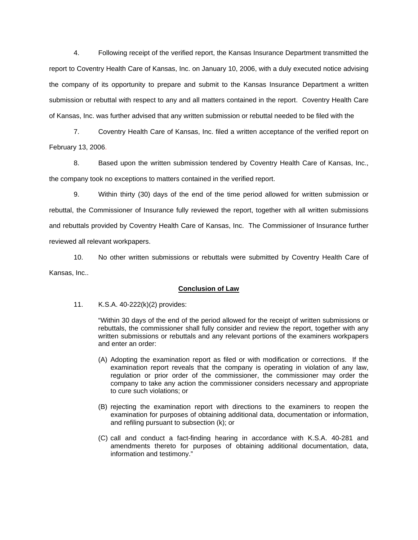4. Following receipt of the verified report, the Kansas Insurance Department transmitted the report to Coventry Health Care of Kansas, Inc. on January 10, 2006, with a duly executed notice advising the company of its opportunity to prepare and submit to the Kansas Insurance Department a written submission or rebuttal with respect to any and all matters contained in the report. Coventry Health Care of Kansas, Inc. was further advised that any written submission or rebuttal needed to be filed with the

 7. Coventry Health Care of Kansas, Inc. filed a written acceptance of the verified report on February 13, 2006.

8. Based upon the written submission tendered by Coventry Health Care of Kansas, Inc., the company took no exceptions to matters contained in the verified report.

 9. Within thirty (30) days of the end of the time period allowed for written submission or rebuttal, the Commissioner of Insurance fully reviewed the report, together with all written submissions and rebuttals provided by Coventry Health Care of Kansas, Inc. The Commissioner of Insurance further reviewed all relevant workpapers.

 10. No other written submissions or rebuttals were submitted by Coventry Health Care of Kansas, Inc..

## **Conclusion of Law**

11. K.S.A. 40-222(k)(2) provides:

"Within 30 days of the end of the period allowed for the receipt of written submissions or rebuttals, the commissioner shall fully consider and review the report, together with any written submissions or rebuttals and any relevant portions of the examiners workpapers and enter an order:

- (A) Adopting the examination report as filed or with modification or corrections. If the examination report reveals that the company is operating in violation of any law, regulation or prior order of the commissioner, the commissioner may order the company to take any action the commissioner considers necessary and appropriate to cure such violations; or
- (B) rejecting the examination report with directions to the examiners to reopen the examination for purposes of obtaining additional data, documentation or information, and refiling pursuant to subsection (k); or
- (C) call and conduct a fact-finding hearing in accordance with K.S.A. 40-281 and amendments thereto for purposes of obtaining additional documentation, data, information and testimony."